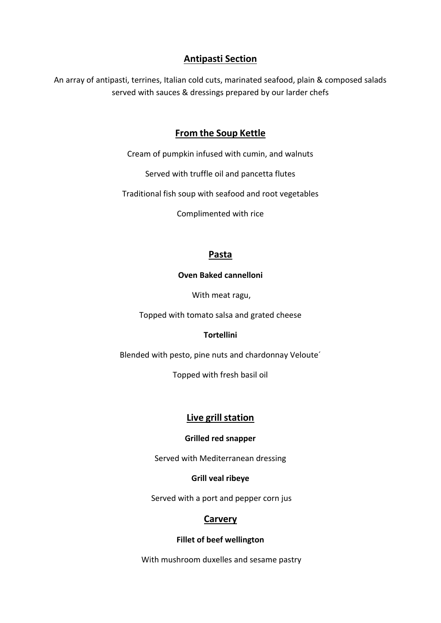# **Antipasti Section**

An array of antipasti, terrines, Italian cold cuts, marinated seafood, plain & composed salads served with sauces & dressings prepared by our larder chefs

# **From the Soup Kettle**

Cream of pumpkin infused with cumin, and walnuts

Served with truffle oil and pancetta flutes

Traditional fish soup with seafood and root vegetables

Complimented with rice

# **Pasta**

#### **Oven Baked cannelloni**

With meat ragu,

Topped with tomato salsa and grated cheese

#### **Tortellini**

Blended with pesto, pine nuts and chardonnay Veloute´

Topped with fresh basil oil

# **Live grill station**

#### **Grilled red snapper**

Served with Mediterranean dressing

#### **Grill veal ribeye**

Served with a port and pepper corn jus

# **Carvery**

#### **Fillet of beef wellington**

With mushroom duxelles and sesame pastry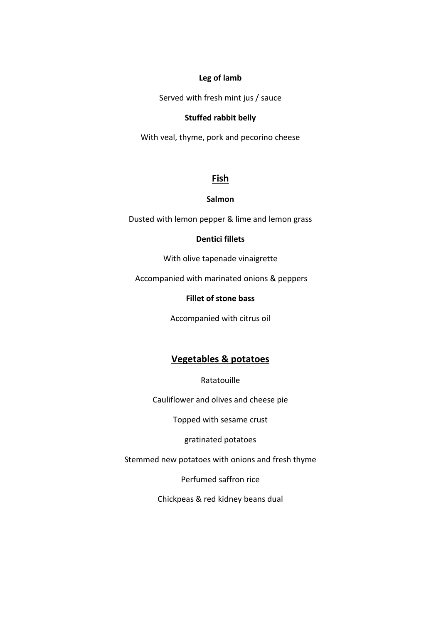#### **Leg of lamb**

Served with fresh mint jus / sauce

#### **Stuffed rabbit belly**

With veal, thyme, pork and pecorino cheese

### **Fish**

#### **Salmon**

Dusted with lemon pepper & lime and lemon grass

#### **Dentici fillets**

With olive tapenade vinaigrette

Accompanied with marinated onions & peppers

#### **Fillet of stone bass**

Accompanied with citrus oil

# **Vegetables & potatoes**

Ratatouille

Cauliflower and olives and cheese pie

Topped with sesame crust

gratinated potatoes

Stemmed new potatoes with onions and fresh thyme

Perfumed saffron rice

Chickpeas & red kidney beans dual